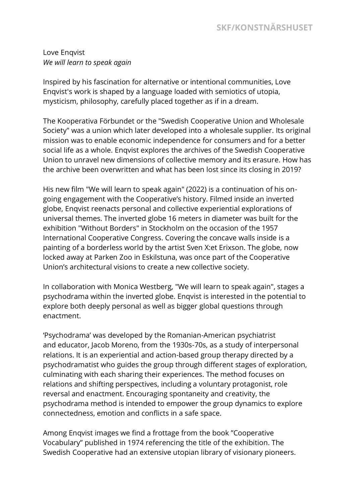## **SKF/KONSTNÄRSHUSET**

Love Enqvist *We will learn to speak again*

Inspired by his fascination for alternative or intentional communities, Love Enqvist's work is shaped by a language loaded with semiotics of utopia, mysticism, philosophy, carefully placed together as if in a dream.

The Kooperativa Förbundet or the "Swedish Cooperative Union and Wholesale Society" was a union which later developed into a wholesale supplier. Its original mission was to enable economic independence for consumers and for a better social life as a whole. Enqvist explores the archives of the Swedish Cooperative Union to unravel new dimensions of collective memory and its erasure. How has the archive been overwritten and what has been lost since its closing in 2019?

His new film "We will learn to speak again" (2022) is a continuation of his ongoing engagement with the Cooperative's history. Filmed inside an inverted globe, Enqvist reenacts personal and collective experiential explorations of universal themes. The inverted globe 16 meters in diameter was built for the exhibition "Without Borders" in Stockholm on the occasion of the 1957 International Cooperative Congress. Covering the concave walls inside is a painting of a borderless world by the artist Sven X:et Erixson. The globe, now locked away at Parken Zoo in Eskilstuna, was once part of the Cooperative Union's architectural visions to create a new collective society.

In collaboration with Monica Westberg, "We will learn to speak again", stages a psychodrama within the inverted globe. Enqvist is interested in the potential to explore both deeply personal as well as bigger global questions through enactment.

'Psychodrama' was developed by the Romanian-American psychiatrist and educator, Jacob Moreno, from the 1930s-70s, as a study of interpersonal relations. It is an experiential and action-based group therapy directed by a psychodramatist who guides the group through different stages of exploration, culminating with each sharing their experiences. The method focuses on relations and shifting perspectives, including a voluntary protagonist, role reversal and enactment. Encouraging spontaneity and creativity, the psychodrama method is intended to empower the group dynamics to explore connectedness, emotion and conflicts in a safe space.

Among Enqvist images we find a frottage from the book "Cooperative Vocabulary" published in 1974 referencing the title of the exhibition. The Swedish Cooperative had an extensive utopian library of visionary pioneers.